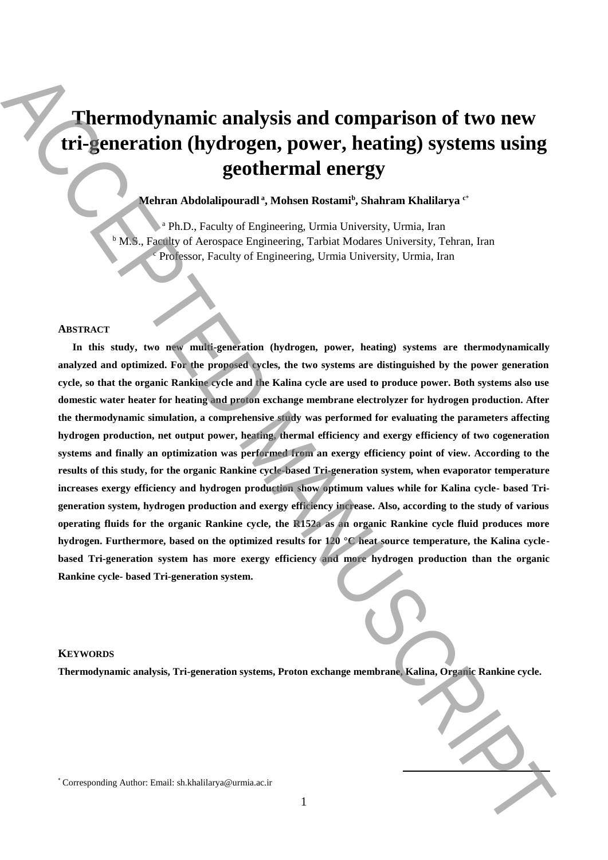# **Thermodynamic analysis and comparison of two new tri-generation (hydrogen, power, heating) systems using geothermal energy**

## **Mehran Abdolalipouradl <sup>a</sup> , Mohsen Rostami<sup>b</sup> , Shahram Khalilarya <sup>c</sup>**\*

<sup>a</sup> Ph.D., Faculty of Engineering, Urmia University, Urmia, Iran <sup>b</sup> M.S., Faculty of Aerospace Engineering, Tarbiat Modares University, Tehran, Iran Professor, Faculty of Engineering, Urmia University, Urmia, Iran

#### **ABSTRACT**

**In this study, two new multi-generation (hydrogen, power, heating) systems are thermodynamically analyzed and optimized. For the proposed cycles, the two systems are distinguished by the power generation cycle, so that the organic Rankine cycle and the Kalina cycle are used to produce power. Both systems also use domestic water heater for heating and proton exchange membrane electrolyzer for hydrogen production. After the thermodynamic simulation, a comprehensive study was performed for evaluating the parameters affecting hydrogen production, net output power, heating, thermal efficiency and exergy efficiency of two cogeneration systems and finally an optimization was performed from an exergy efficiency point of view. According to the results of this study, for the organic Rankine cycle-based Tri-generation system, when evaporator temperature increases exergy efficiency and hydrogen production show optimum values while for Kalina cycle- based Trigeneration system, hydrogen production and exergy efficiency increase. Also, according to the study of various operating fluids for the organic Rankine cycle, the R152a as an organic Rankine cycle fluid produces more hydrogen. Furthermore, based on the optimized results for 120 °C heat source temperature, the Kalina cyclebased Tri-generation system has more exergy efficiency and more hydrogen production than the organic Rankine cycle- based Tri-generation system. Thermodynamic analysis and comparison of two new triangular systems using geodenical correlations (Equivalent Authorities)**<br> **Example 2001 Authorities** (For the effect of the effect of the effect of the effect of the e

#### **KEYWORDS**

**Thermodynamic analysis, Tri-generation systems, Proton exchange membrane, Kalina, Organic Rankine cycle.**

**.**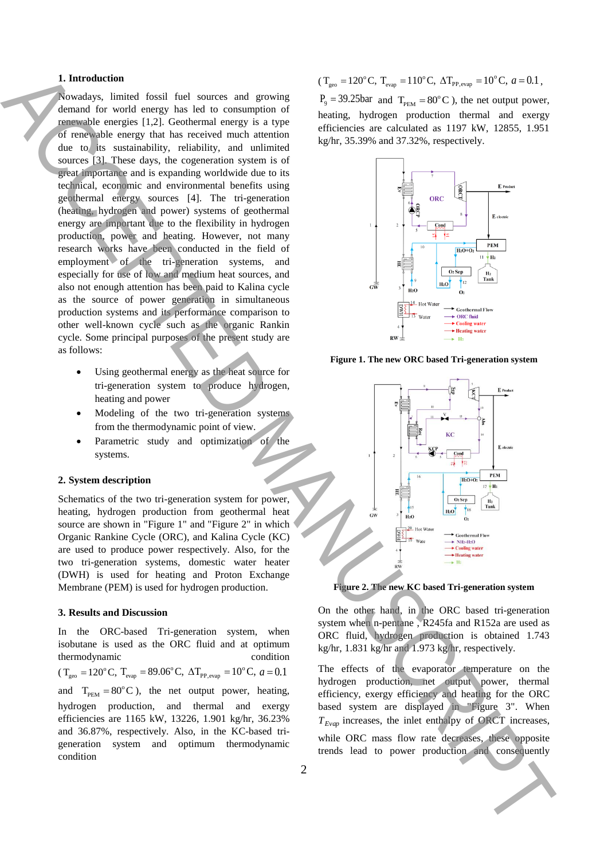### **1. Introduction**

Nowadays, limited fossil fuel sources and growing demand for world energy has led to consumption of renewable energies [1,2]. Geothermal energy is a type of renewable energy that has received much attention due to its sustainability, reliability, and unlimited sources [3]. These days, the cogeneration system is of great importance and is expanding worldwide due to its technical, economic and environmental benefits using geothermal energy sources [4]. The tri-generation (heating, hydrogen and power) systems of geothermal energy are important due to the flexibility in hydrogen production, power and heating. However, not many research works have been conducted in the field of employment of the tri-generation systems, and especially for use of low and medium heat sources, and also not enough attention has been paid to Kalina cycle as the source of power generation in simultaneous production systems and its performance comparison to other well-known cycle such as the organic Rankin cycle. Some principal purposes of the present study are as follows: **1.** Internation of order that is a consequent of the consequent of the set of the set of the set of the set of the set of the set of the set of the set of the set of the set of the set of the set of the set of the set of

- Using geothermal energy as the heat source for tri-generation system to produce hydrogen, heating and power
- Modeling of the two tri-generation systems from the thermodynamic point of view.
- Parametric study and optimization of the systems.

#### **2. System description**

Schematics of the two tri-generation system for power, heating, hydrogen production from geothermal heat source are shown in "Figure 1" and "Figure 2" in which Organic Rankine Cycle (ORC), and Kalina Cycle (KC) are used to produce power respectively. Also, for the two tri-generation systems, domestic water heater (DWH) is used for heating and Proton Exchange Membrane (PEM) is used for hydrogen production.

#### **3. Results and Discussion**

In the ORC-based Tri-generation system, when isobutane is used as the ORC fluid and at optimum thermodynamic condition  $(T_{\text{geo}} = 120^{\circ} \text{C}, T_{\text{evap}} = 89.06^{\circ} \text{C}, \ \Delta T_{\text{PP,evap}} = 10^{\circ} \text{C}, \ a = 0.1$ and  $T_{PEM} = 80^{\circ}$ C), the net output power, heating, hydrogen production, and thermal and exergy efficiencies are 1165 kW, 13226, 1.901 kg/hr, 36.23% and 36.87%, respectively. Also, in the KC-based trigeneration system and optimum thermodynamic condition

$$
(T_{\text{geo}} = 120^{\circ} \text{C}, T_{\text{evap}} = 110^{\circ} \text{C}, \Delta T_{\text{PP,evap}} = 10^{\circ} \text{C}, a = 0.1,
$$

 $P_9 = 39.25$ bar and  $T_{PEM} = 80^{\circ}$ C), the net output power, heating, hydrogen production thermal and exergy efficiencies are calculated as 1197 kW, 12855, 1.951 kg/hr, 35.39% and 37.32%, respectively.



**Figure 1. The new ORC based Tri-generation system**



**Figure 2. The new KC based Tri-generation system**

On the other hand, in the ORC based tri-generation system when n-pentane , R245fa and R152a are used as ORC fluid, hydrogen production is obtained 1.743 kg/hr, 1.831 kg/hr and 1.973 kg/hr, respectively.

The effects of the evaporator temperature on the hydrogen production, net output power, thermal efficiency, exergy efficiency and heating for the ORC based system are displayed in "Figure 3". When *<sup>T</sup>Evap* increases, the inlet enthalpy of ORCT increases, while ORC mass flow rate decreases, these opposite